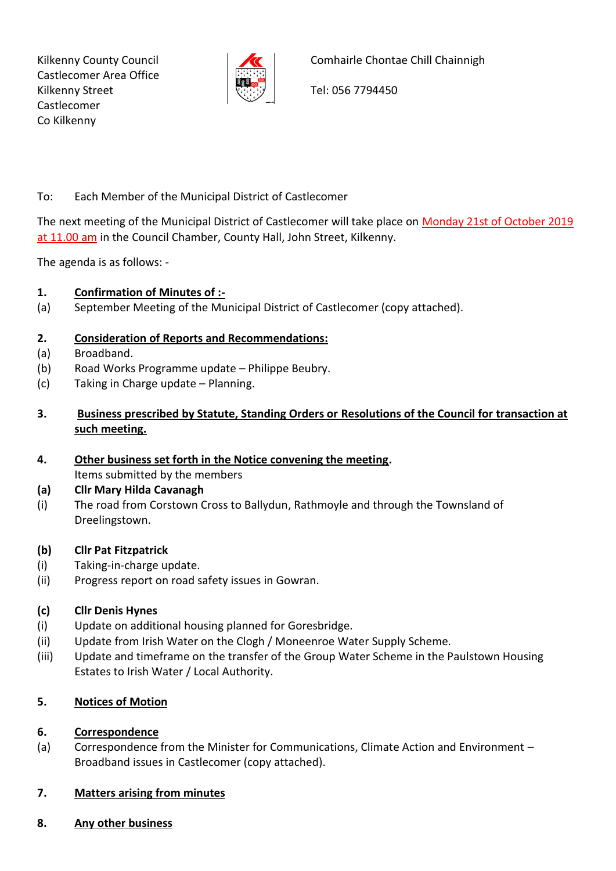Kilkenny County Council Castlecomer Area Office Kilkenny Street Castlecomer Co Kilkenny



Comhairle Chontae Chill Chainnigh

Tel: 056 7794450

## To: Each Member of the Municipal District of Castlecomer

The next meeting of the Municipal District of Castlecomer will take place on Monday 21st of October 2019 at 11.00 am in the Council Chamber, County Hall, John Street, Kilkenny.

The agenda is as follows: -

# **1. Confirmation of Minutes of :-**

(a) September Meeting of the Municipal District of Castlecomer (copy attached).

# **2. Consideration of Reports and Recommendations:**

- (a) Broadband.
- (b) Road Works Programme update Philippe Beubry.
- (c) Taking in Charge update Planning.
- **3. Business prescribed by Statute, Standing Orders or Resolutions of the Council for transaction at such meeting.**
- **4. Other business set forth in the Notice convening the meeting.** Items submitted by the members

### **(a) Cllr Mary Hilda Cavanagh**

(i) The road from Corstown Cross to Ballydun, Rathmoyle and through the Townsland of Dreelingstown.

### **(b) Cllr Pat Fitzpatrick**

- (i) Taking-in-charge update.
- (ii) Progress report on road safety issues in Gowran.

### **(c) Cllr Denis Hynes**

- (i) Update on additional housing planned for Goresbridge.
- (ii) Update from Irish Water on the Clogh / Moneenroe Water Supply Scheme.
- (iii) Update and timeframe on the transfer of the Group Water Scheme in the Paulstown Housing Estates to Irish Water / Local Authority.

### **5. Notices of Motion**

### **6. Correspondence**

(a) Correspondence from the Minister for Communications, Climate Action and Environment – Broadband issues in Castlecomer (copy attached).

### **7. Matters arising from minutes**

**8. Any other business**